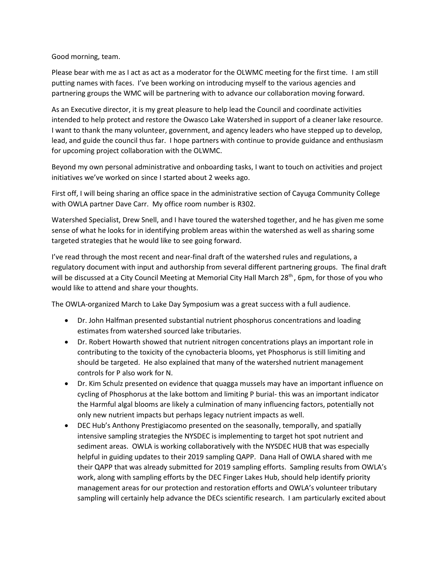Good morning, team.

Please bear with me as I act as act as a moderator for the OLWMC meeting for the first time. I am still putting names with faces. I've been working on introducing myself to the various agencies and partnering groups the WMC will be partnering with to advance our collaboration moving forward.

As an Executive director, it is my great pleasure to help lead the Council and coordinate activities intended to help protect and restore the Owasco Lake Watershed in support of a cleaner lake resource. I want to thank the many volunteer, government, and agency leaders who have stepped up to develop, lead, and guide the council thus far. I hope partners with continue to provide guidance and enthusiasm for upcoming project collaboration with the OLWMC.

Beyond my own personal administrative and onboarding tasks, I want to touch on activities and project initiatives we've worked on since I started about 2 weeks ago.

First off, I will being sharing an office space in the administrative section of Cayuga Community College with OWLA partner Dave Carr. My office room number is R302.

Watershed Specialist, Drew Snell, and I have toured the watershed together, and he has given me some sense of what he looks for in identifying problem areas within the watershed as well as sharing some targeted strategies that he would like to see going forward.

I've read through the most recent and near-final draft of the watershed rules and regulations, a regulatory document with input and authorship from several different partnering groups. The final draft will be discussed at a City Council Meeting at Memorial City Hall March 28<sup>th</sup>, 6pm, for those of you who would like to attend and share your thoughts.

The OWLA-organized March to Lake Day Symposium was a great success with a full audience.

- Dr. John Halfman presented substantial nutrient phosphorus concentrations and loading estimates from watershed sourced lake tributaries.
- Dr. Robert Howarth showed that nutrient nitrogen concentrations plays an important role in contributing to the toxicity of the cynobacteria blooms, yet Phosphorus is still limiting and should be targeted. He also explained that many of the watershed nutrient management controls for P also work for N.
- Dr. Kim Schulz presented on evidence that quagga mussels may have an important influence on cycling of Phosphorus at the lake bottom and limiting P burial- this was an important indicator the Harmful algal blooms are likely a culmination of many influencing factors, potentially not only new nutrient impacts but perhaps legacy nutrient impacts as well.
- DEC Hub's Anthony Prestigiacomo presented on the seasonally, temporally, and spatially intensive sampling strategies the NYSDEC is implementing to target hot spot nutrient and sediment areas. OWLA is working collaboratively with the NYSDEC HUB that was especially helpful in guiding updates to their 2019 sampling QAPP. Dana Hall of OWLA shared with me their QAPP that was already submitted for 2019 sampling efforts. Sampling results from OWLA's work, along with sampling efforts by the DEC Finger Lakes Hub, should help identify priority management areas for our protection and restoration efforts and OWLA's volunteer tributary sampling will certainly help advance the DECs scientific research. I am particularly excited about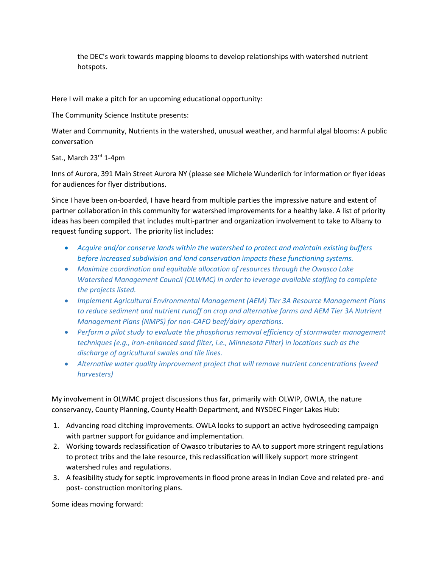the DEC's work towards mapping blooms to develop relationships with watershed nutrient hotspots.

Here I will make a pitch for an upcoming educational opportunity:

The Community Science Institute presents:

Water and Community, Nutrients in the watershed, unusual weather, and harmful algal blooms: A public conversation

Sat., March 23rd 1-4pm

Inns of Aurora, 391 Main Street Aurora NY (please see Michele Wunderlich for information or flyer ideas for audiences for flyer distributions.

Since I have been on-boarded, I have heard from multiple parties the impressive nature and extent of partner collaboration in this community for watershed improvements for a healthy lake. A list of priority ideas has been compiled that includes multi-partner and organization involvement to take to Albany to request funding support. The priority list includes:

- *Acquire and/or conserve lands within the watershed to protect and maintain existing buffers before increased subdivision and land conservation impacts these functioning systems.*
- *Maximize coordination and equitable allocation of resources through the Owasco Lake Watershed Management Council (OLWMC) in order to leverage available staffing to complete the projects listed.*
- *Implement Agricultural Environmental Management (AEM) Tier 3A Resource Management Plans to reduce sediment and nutrient runoff on crop and alternative farms and AEM Tier 3A Nutrient Management Plans (NMPS) for non-CAFO beef/dairy operations.*
- *Perform a pilot study to evaluate the phosphorus removal efficiency of stormwater management techniques (e.g., iron-enhanced sand filter, i.e., Minnesota Filter) in locations such as the discharge of agricultural swales and tile lines.*
- *Alternative water quality improvement project that will remove nutrient concentrations (weed harvesters)*

My involvement in OLWMC project discussions thus far, primarily with OLWIP, OWLA, the nature conservancy, County Planning, County Health Department, and NYSDEC Finger Lakes Hub:

- 1. Advancing road ditching improvements. OWLA looks to support an active hydroseeding campaign with partner support for guidance and implementation.
- 2. Working towards reclassification of Owasco tributaries to AA to support more stringent regulations to protect tribs and the lake resource, this reclassification will likely support more stringent watershed rules and regulations.
- 3. A feasibility study for septic improvements in flood prone areas in Indian Cove and related pre- and post- construction monitoring plans.

Some ideas moving forward: